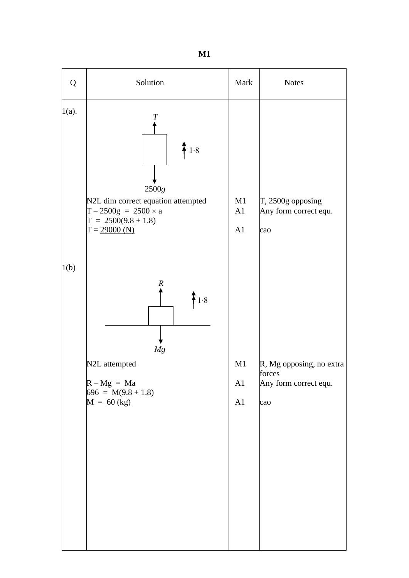

**M1**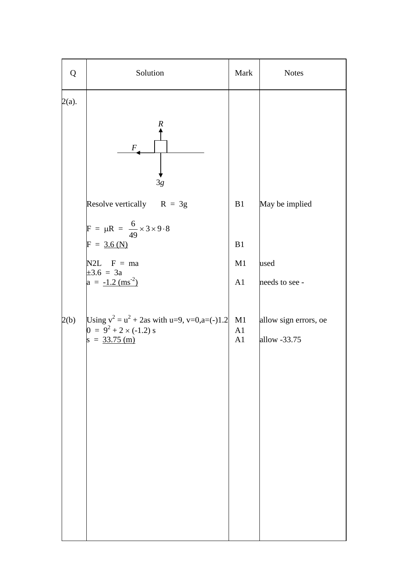| Q        | Solution                                                                         | Mark     | <b>Notes</b>          |
|----------|----------------------------------------------------------------------------------|----------|-----------------------|
| $2(a)$ . | $\boldsymbol{R}$<br>$\,F$<br>3g                                                  |          |                       |
|          | Resolve vertically $R = 3g$<br>$F = \mu R = \frac{6}{49} \times 3 \times 9.8$    | B1       | May be implied        |
|          | $F = 3.6(N)$                                                                     | B1       |                       |
|          | $N2L$ F = ma<br>$\pm 3.6 = 3a$                                                   | M1       | used                  |
|          | $a = -1.2$ (ms <sup>-2</sup> )                                                   | A1       | needs to see -        |
| 2(b)     | Using $v^2 = u^2 + 2$ as with u=9, v=0,a=(-)1.2<br>$0 = 9^2 + 2 \times (-1.2)$ s | M1<br>A1 | allow sign errors, oe |
|          | $s = 33.75$ (m)                                                                  | A1       | allow -33.75          |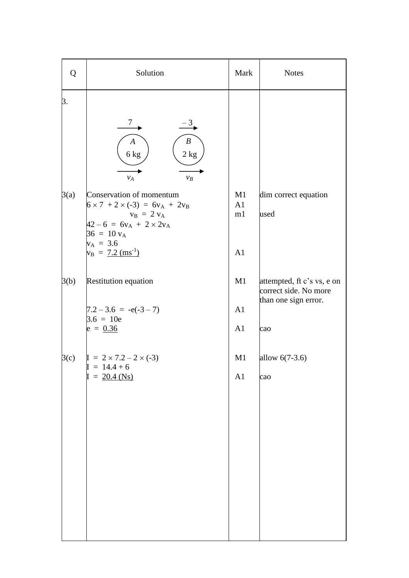| Q          | Solution                                                                                                                                  | Mark           | <b>Notes</b>                                        |
|------------|-------------------------------------------------------------------------------------------------------------------------------------------|----------------|-----------------------------------------------------|
| 3.         |                                                                                                                                           |                |                                                     |
|            | $\tau$<br>$-3$<br>$\boldsymbol{B}$<br>$\boldsymbol{A}$<br>$6\,\mathrm{kg}$<br>$2\ \mathrm{kg}$<br>$V_A$<br>$v_B$                          |                |                                                     |
| 3(a)       | Conservation of momentum<br>$6 \times 7 + 2 \times (-3) = 6v_A + 2v_B$<br>$v_B = 2 v_A$<br>$42-6 = 6v_A + 2 \times 2v_A$<br>$36 = 10 v_A$ | M1<br>A1<br>m1 | dim correct equation<br>used                        |
|            | $v_A = 3.6$<br>$v_B = 7.2 \text{ (ms}^{-1})$                                                                                              | A1             |                                                     |
| 3(b)       | Restitution equation                                                                                                                      | M1             | attempted, ft c's vs, e on<br>correct side. No more |
|            | $7.2 - 3.6 = -e(-3 - 7)$<br>$3.6 = 10e$<br>$e = 0.36$                                                                                     | A1<br>A1       | than one sign error.<br>cao                         |
| $\beta(c)$ | $I = 2 \times 7.2 - 2 \times (-3)$<br>$I = 14.4 + 6$                                                                                      | M1             | allow $6(7-3.6)$                                    |
|            | $I = 20.4$ (Ns)                                                                                                                           | A1             | cao                                                 |
|            |                                                                                                                                           |                |                                                     |
|            |                                                                                                                                           |                |                                                     |
|            |                                                                                                                                           |                |                                                     |
|            |                                                                                                                                           |                |                                                     |
|            |                                                                                                                                           |                |                                                     |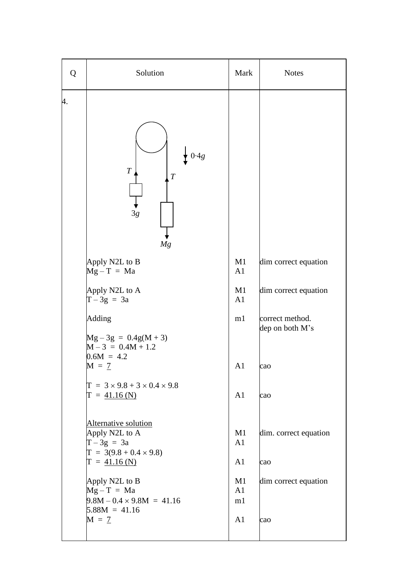| Q  | Solution                                                                                                 | Mark                       | <b>Notes</b>                       |
|----|----------------------------------------------------------------------------------------------------------|----------------------------|------------------------------------|
| 4. | $\overline{T}$<br>$\boldsymbol{T}$<br>3g<br>Mg                                                           |                            |                                    |
|    | Apply N2L to B<br>$Mg - T = Ma$                                                                          | M1<br>A1                   | dim correct equation               |
|    | Apply N2L to A<br>$T-3g = 3a$                                                                            | M1<br>A1                   | dim correct equation               |
|    | Adding<br>$Mg - 3g = 0.4g(M + 3)$<br>$M - 3 = 0.4M + 1.2$<br>$0.6M = 4.2$                                | m1                         | correct method.<br>dep on both M's |
|    | $M = 7$                                                                                                  | A1                         | cao                                |
|    | $T = 3 \times 9.8 + 3 \times 0.4 \times 9.8$<br>$T = 41.16$ (N)                                          | A1                         | cao                                |
|    | Alternative solution<br>Apply N2L to A<br>$T-3g = 3a$<br>$T = 3(9.8 + 0.4 \times 9.8)$<br>$T = 41.16(N)$ | M1<br>A1<br>A <sub>1</sub> | dim. correct equation<br>cao       |
|    | Apply N2L to B<br>$Mg - T = Ma$<br>$9.8M - 0.4 \times 9.8M = 41.16$<br>$5.88M = 41.16$                   | M1<br>A1<br>m1             | dim correct equation               |
|    | $M = 7$                                                                                                  | A <sub>1</sub>             | cao                                |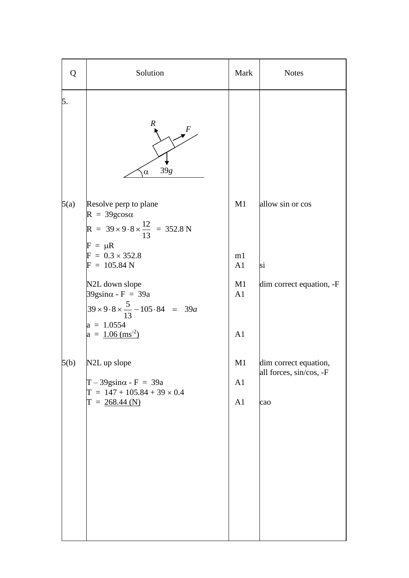| Solution                                                                                                                                               | Mark                                   | <b>Notes</b>                                            |
|--------------------------------------------------------------------------------------------------------------------------------------------------------|----------------------------------------|---------------------------------------------------------|
| $\boldsymbol{R}$<br>39g<br>$\alpha$                                                                                                                    |                                        |                                                         |
| Resolve perp to plane<br>$R = 39g\cos\alpha$<br>R = $39 \times 9.8 \times \frac{12}{13}$ = 352.8 N<br>$F = \mu R$<br>$F = 0.3 \times 352.8$            | M1<br>m1                               | allow sin or cos                                        |
| N2L down slope<br>$39$ gsin $\alpha$ - F = 39a<br>$39 \times 9.8 \times \frac{5}{13} - 105.84 = 39a$<br>$a = 1.0554$<br>$a = 1.06$ (ms <sup>-2</sup> ) | M1<br>A1<br>A1                         | si<br>dim correct equation, -F                          |
| N2L up slope<br>$T - 39$ gsin $\alpha$ - F = 39a<br>$T = 147 + 105.84 + 39 \times 0.4$<br>$T = 268.44$ (N)                                             | M1<br>A <sub>1</sub><br>A <sub>1</sub> | dim correct equation,<br>all forces, sin/cos, -F<br>cao |
|                                                                                                                                                        | $F = 105.84 N$                         | A <sub>1</sub>                                          |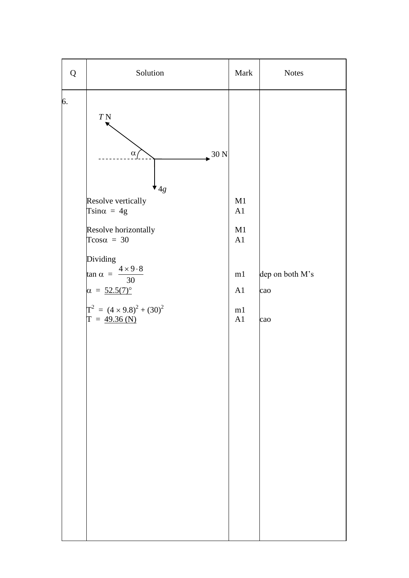| Q  | Solution                                                                                                                                                                                                                                                                                                      | Mark                                         | <b>Notes</b>                  |
|----|---------------------------------------------------------------------------------------------------------------------------------------------------------------------------------------------------------------------------------------------------------------------------------------------------------------|----------------------------------------------|-------------------------------|
| 6. | $T\,\mathrm{N}$<br>$\alpha$<br>$\approx 30 \text{ N}$<br>$^{\prime}$ 4g<br>Resolve vertically<br>Tsin $\alpha = 4g$<br>Resolve horizontally<br>Tcos $\alpha = 30$<br>Dividing<br>$\tan \alpha = \frac{4 \times 9.8}{30}$<br>$\alpha = 52.5(7)^{\circ}$<br>$T^2 = (4 \times 9.8)^2 + (30)^2$<br>$T = 49.36(N)$ | M1<br>A1<br>M1<br>A1<br>m1<br>A1<br>m1<br>A1 | dep on both M's<br>cao<br>cao |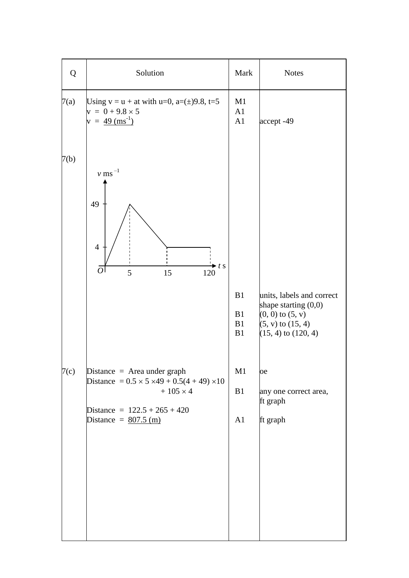| Q    | Solution                                                                                                                                                     | Mark                 | <b>Notes</b>                                                                                             |
|------|--------------------------------------------------------------------------------------------------------------------------------------------------------------|----------------------|----------------------------------------------------------------------------------------------------------|
| 7(a) | Using $v = u + at$ with $u=0$ , $a=(\pm)9.8$ , $t=5$<br>$y = 0 + 9.8 \times 5$<br>$v = 49 \text{ (ms}^{-1})$                                                 | M1<br>A1<br>A1       | accept -49                                                                                               |
| 7(b) | $\nu$ ms $^{-1}$<br>49<br>$\overline{4}$<br>$\blacktriangleright t$ s<br>$\overline{O}$<br>5<br>15<br>120                                                    | B1                   | units, labels and correct                                                                                |
| 7(c) | Distance $=$ Area under graph                                                                                                                                | B1<br>B1<br>B1<br>M1 | shape starting $(0,0)$<br>$(0, 0)$ to $(5, v)$<br>$(5, v)$ to $(15, 4)$<br>$(15, 4)$ to $(120, 4)$<br>oe |
|      | Distance = $0.5 \times 5 \times 49 + 0.5(4 + 49) \times 10$<br>$+105 \times 4$<br>Distance = $122.5 + 265 + 420$<br>Distance = $\frac{807.5 \text{ (m)}}{2}$ | B1<br>A1             | any one correct area,<br>ft graph<br>ft graph                                                            |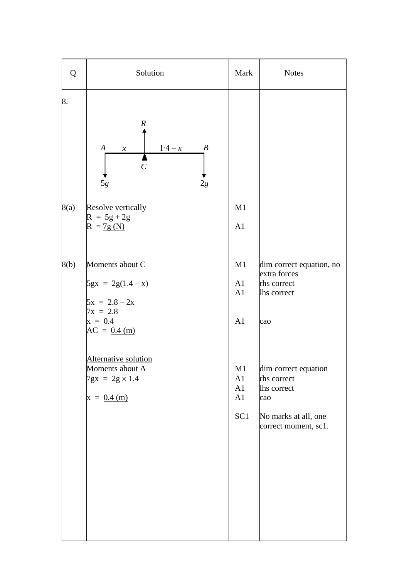| Q    | Solution                                                                                                                               | Mark                                                | <b>Notes</b>                                                                                              |
|------|----------------------------------------------------------------------------------------------------------------------------------------|-----------------------------------------------------|-----------------------------------------------------------------------------------------------------------|
| 8.   | $\boldsymbol{R}$<br>$1-4-x$<br>$\boldsymbol{B}$<br>$\boldsymbol{A}$<br>$\boldsymbol{\mathcal{X}}$<br>$\mathcal{C}_{0}^{0}$<br>5g<br>2g |                                                     |                                                                                                           |
| 8(a) | Resolve vertically<br>$R = 5g + 2g$<br>$R = 7g(N)$                                                                                     | M1<br>A1                                            |                                                                                                           |
| 8(b) | Moments about C<br>$5gx = 2g(1.4 - x)$<br>$5x = 2.8 - 2x$<br>$7x = 2.8$<br>$x = 0.4$<br>$AC = 0.4$ (m)                                 | M1<br>A1<br>A1<br>A1                                | dim correct equation, no<br>extra forces<br>rhs correct<br>lhs correct<br>cao                             |
|      | Alternative solution<br>Moments about A<br>$7gx = 2g \times 1.4$<br>$x = 0.4$ (m)                                                      | M <sub>1</sub><br>A1<br>A1<br>A1<br>SC <sub>1</sub> | dim correct equation<br>rhs correct<br>lhs correct<br>cao<br>No marks at all, one<br>correct moment, sc1. |